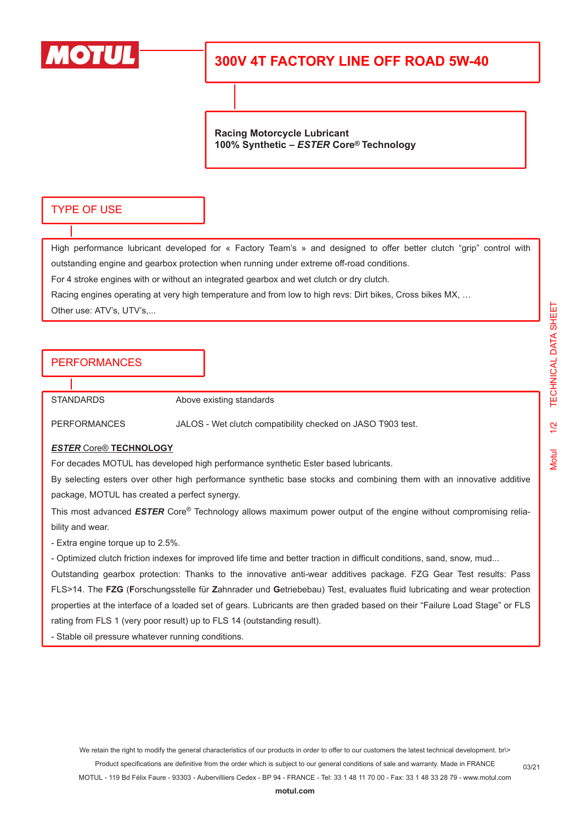

## **300V 4T FACTORY LINE OFF ROAD 5W-40**

**Racing Motorcycle Lubricant 100% Synthetic –** *ESTER* **Core® Technology**

### TYPE OF USE

High performance lubricant developed for « Factory Team's » and designed to offer better clutch "grip" control with outstanding engine and gearbox protection when running under extreme off-road conditions.

For 4 stroke engines with or without an integrated gearbox and wet clutch or dry clutch.

Racing engines operating at very high temperature and from low to high revs: Dirt bikes, Cross bikes MX, …

Other use: ATV's, UTV's,...

## PERFORMANCES

STANDARDS Above existing standards

PERFORMANCES JALOS - Wet clutch compatibility checked on JASO T903 test.

#### *ESTER* Core® **TECHNOLOGY**

For decades MOTUL has developed high performance synthetic Ester based lubricants.

By selecting esters over other high performance synthetic base stocks and combining them with an innovative additive package, MOTUL has created a perfect synergy.

This most advanced *ESTER* Core® Technology allows maximum power output of the engine without compromising reliability and wear.

- Extra engine torque up to 2.5%.

- Optimized clutch friction indexes for improved life time and better traction in difficult conditions, sand, snow, mud...

Outstanding gearbox protection: Thanks to the innovative anti-wear additives package. FZG Gear Test results: Pass FLS>14. The **FZG** (**F**orschungsstelle für **Z**ahnrader und **G**etriebebau) Test, evaluates fluid lubricating and wear protection properties at the interface of a loaded set of gears. Lubricants are then graded based on their "Failure Load Stage" or FLS rating from FLS 1 (very poor result) up to FLS 14 (outstanding result).

- Stable oil pressure whatever running conditions.